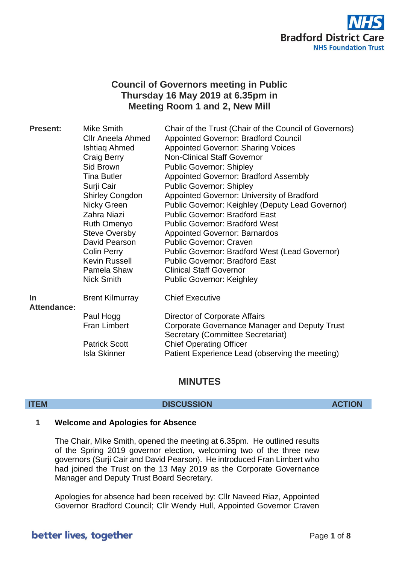

# **Council of Governors meeting in Public Thursday 16 May 2019 at 6.35pm in Meeting Room 1 and 2, New Mill**

| <b>Present:</b>                 | Mike Smith<br><b>CIIr Aneela Ahmed</b> | Chair of the Trust (Chair of the Council of Governors)                             |
|---------------------------------|----------------------------------------|------------------------------------------------------------------------------------|
|                                 |                                        | Appointed Governor: Bradford Council                                               |
|                                 | Ishtiaq Ahmed                          | <b>Appointed Governor: Sharing Voices</b>                                          |
|                                 | Craig Berry                            | <b>Non-Clinical Staff Governor</b>                                                 |
|                                 | Sid Brown                              | <b>Public Governor: Shipley</b>                                                    |
|                                 | <b>Tina Butler</b>                     | <b>Appointed Governor: Bradford Assembly</b>                                       |
|                                 | Surji Cair                             | <b>Public Governor: Shipley</b>                                                    |
|                                 | <b>Shirley Congdon</b>                 | Appointed Governor: University of Bradford                                         |
|                                 | Nicky Green                            | Public Governor: Keighley (Deputy Lead Governor)                                   |
|                                 | Zahra Niazi                            | <b>Public Governor: Bradford East</b>                                              |
|                                 | <b>Ruth Omenyo</b>                     | <b>Public Governor: Bradford West</b>                                              |
|                                 | <b>Steve Oversby</b>                   | <b>Appointed Governor: Barnardos</b>                                               |
|                                 | David Pearson                          | <b>Public Governor: Craven</b>                                                     |
|                                 | <b>Colin Perry</b>                     | <b>Public Governor: Bradford West (Lead Governor)</b>                              |
|                                 | Kevin Russell                          | <b>Public Governor: Bradford East</b>                                              |
|                                 | Pamela Shaw                            | <b>Clinical Staff Governor</b>                                                     |
|                                 | <b>Nick Smith</b>                      | <b>Public Governor: Keighley</b>                                                   |
| <b>In</b><br><b>Attendance:</b> | <b>Brent Kilmurray</b>                 | <b>Chief Executive</b>                                                             |
|                                 | Paul Hogg                              | Director of Corporate Affairs                                                      |
|                                 | <b>Fran Limbert</b>                    | Corporate Governance Manager and Deputy Trust<br>Secretary (Committee Secretariat) |
|                                 | <b>Patrick Scott</b>                   | <b>Chief Operating Officer</b>                                                     |
|                                 | <b>Isla Skinner</b>                    | Patient Experience Lead (observing the meeting)                                    |

# **MINUTES**

# **ITEM DISCUSSION ACTION**

# **1 Welcome and Apologies for Absence**

The Chair, Mike Smith, opened the meeting at 6.35pm. He outlined results of the Spring 2019 governor election, welcoming two of the three new governors (Surji Cair and David Pearson). He introduced Fran Limbert who had joined the Trust on the 13 May 2019 as the Corporate Governance Manager and Deputy Trust Board Secretary.

Apologies for absence had been received by: Cllr Naveed Riaz, Appointed Governor Bradford Council; Cllr Wendy Hull, Appointed Governor Craven

# better lives, together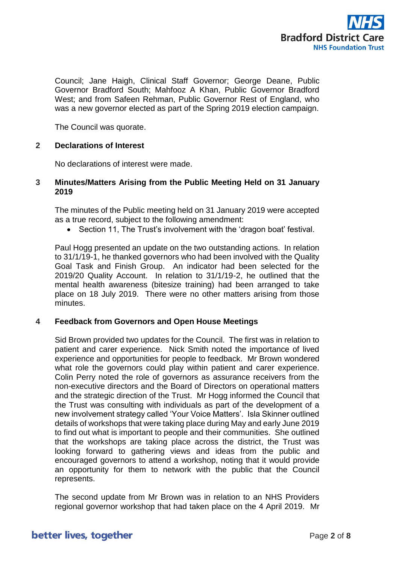

Council; Jane Haigh, Clinical Staff Governor; George Deane, Public Governor Bradford South; Mahfooz A Khan, Public Governor Bradford West; and from Safeen Rehman, Public Governor Rest of England, who was a new governor elected as part of the Spring 2019 election campaign.

The Council was quorate.

# **2 Declarations of Interest**

No declarations of interest were made.

# **3 Minutes/Matters Arising from the Public Meeting Held on 31 January 2019**

The minutes of the Public meeting held on 31 January 2019 were accepted as a true record, subject to the following amendment:

• Section 11, The Trust's involvement with the 'dragon boat' festival.

Paul Hogg presented an update on the two outstanding actions. In relation to 31/1/19-1, he thanked governors who had been involved with the Quality Goal Task and Finish Group. An indicator had been selected for the 2019/20 Quality Account. In relation to 31/1/19-2, he outlined that the mental health awareness (bitesize training) had been arranged to take place on 18 July 2019. There were no other matters arising from those minutes.

### **4 Feedback from Governors and Open House Meetings**

Sid Brown provided two updates for the Council. The first was in relation to patient and carer experience. Nick Smith noted the importance of lived experience and opportunities for people to feedback. Mr Brown wondered what role the governors could play within patient and carer experience. Colin Perry noted the role of governors as assurance receivers from the non-executive directors and the Board of Directors on operational matters and the strategic direction of the Trust. Mr Hogg informed the Council that the Trust was consulting with individuals as part of the development of a new involvement strategy called 'Your Voice Matters'. Isla Skinner outlined details of workshops that were taking place during May and early June 2019 to find out what is important to people and their communities. She outlined that the workshops are taking place across the district, the Trust was looking forward to gathering views and ideas from the public and encouraged governors to attend a workshop, noting that it would provide an opportunity for them to network with the public that the Council represents.

The second update from Mr Brown was in relation to an NHS Providers regional governor workshop that had taken place on the 4 April 2019. Mr

# better lives, together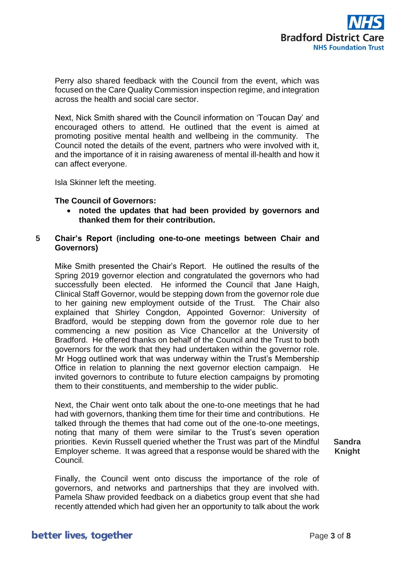

Perry also shared feedback with the Council from the event, which was focused on the Care Quality Commission inspection regime, and integration across the health and social care sector.

Next, Nick Smith shared with the Council information on 'Toucan Day' and encouraged others to attend. He outlined that the event is aimed at promoting positive mental health and wellbeing in the community. The Council noted the details of the event, partners who were involved with it, and the importance of it in raising awareness of mental ill-health and how it can affect everyone.

Isla Skinner left the meeting.

### **The Council of Governors:**

• **noted the updates that had been provided by governors and thanked them for their contribution.**

# **5 Chair's Report (including one-to-one meetings between Chair and Governors)**

Mike Smith presented the Chair's Report. He outlined the results of the Spring 2019 governor election and congratulated the governors who had successfully been elected. He informed the Council that Jane Haigh, Clinical Staff Governor, would be stepping down from the governor role due to her gaining new employment outside of the Trust. The Chair also explained that Shirley Congdon, Appointed Governor: University of Bradford, would be stepping down from the governor role due to her commencing a new position as Vice Chancellor at the University of Bradford. He offered thanks on behalf of the Council and the Trust to both governors for the work that they had undertaken within the governor role. Mr Hogg outlined work that was underway within the Trust's Membership Office in relation to planning the next governor election campaign. He invited governors to contribute to future election campaigns by promoting them to their constituents, and membership to the wider public.

Next, the Chair went onto talk about the one-to-one meetings that he had had with governors, thanking them time for their time and contributions. He talked through the themes that had come out of the one-to-one meetings, noting that many of them were similar to the Trust's seven operation priorities. Kevin Russell queried whether the Trust was part of the Mindful Employer scheme. It was agreed that a response would be shared with the Council.

**Sandra Knight**

Finally, the Council went onto discuss the importance of the role of governors, and networks and partnerships that they are involved with. Pamela Shaw provided feedback on a diabetics group event that she had recently attended which had given her an opportunity to talk about the work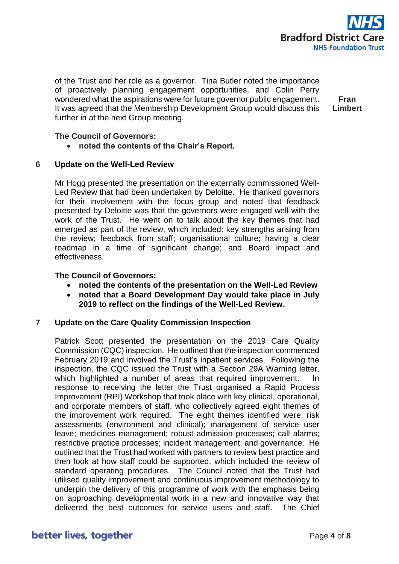

of the Trust and her role as a governor. Tina Butler noted the importance of proactively planning engagement opportunities, and Colin Perry wondered what the aspirations were for future governor public engagement. It was agreed that the Membership Development Group would discuss this further in at the next Group meeting.

**Fran Limbert**

**The Council of Governors:**

• **noted the contents of the Chair's Report.**

# **6 Update on the Well-Led Review**

Mr Hogg presented the presentation on the externally commissioned Well-Led Review that had been undertaken by Deloitte. He thanked governors for their involvement with the focus group and noted that feedback presented by Deloitte was that the governors were engaged well with the work of the Trust. He went on to talk about the key themes that had emerged as part of the review, which included: key strengths arising from the review; feedback from staff; organisational culture; having a clear roadmap in a time of significant change; and Board impact and effectiveness.

# **The Council of Governors:**

- **noted the contents of the presentation on the Well-Led Review**
- **noted that a Board Development Day would take place in July 2019 to reflect on the findings of the Well-Led Review.**

### **7 Update on the Care Quality Commission Inspection**

Patrick Scott presented the presentation on the 2019 Care Quality Commission (CQC) inspection. He outlined that the inspection commenced February 2019 and involved the Trust's inpatient services. Following the inspection, the CQC issued the Trust with a Section 29A Warning letter, which highlighted a number of areas that required improvement. In response to receiving the letter the Trust organised a Rapid Process Improvement (RPI) Workshop that took place with key clinical, operational, and corporate members of staff, who collectively agreed eight themes of the improvement work required. The eight themes identified were: risk assessments (environment and clinical); management of service user leave; medicines management; robust admission processes; call alarms; restrictive practice processes; incident management; and governance. He outlined that the Trust had worked with partners to review best practice and then look at how staff could be supported, which included the review of standard operating procedures. The Council noted that the Trust had utilised quality improvement and continuous improvement methodology to underpin the delivery of this programme of work with the emphasis being on approaching developmental work in a new and innovative way that delivered the best outcomes for service users and staff. The Chief

# better lives, together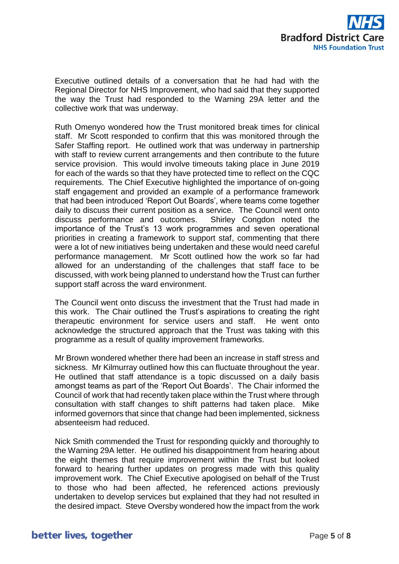

Executive outlined details of a conversation that he had had with the Regional Director for NHS Improvement, who had said that they supported the way the Trust had responded to the Warning 29A letter and the collective work that was underway.

Ruth Omenyo wondered how the Trust monitored break times for clinical staff. Mr Scott responded to confirm that this was monitored through the Safer Staffing report. He outlined work that was underway in partnership with staff to review current arrangements and then contribute to the future service provision. This would involve timeouts taking place in June 2019 for each of the wards so that they have protected time to reflect on the CQC requirements. The Chief Executive highlighted the importance of on-going staff engagement and provided an example of a performance framework that had been introduced 'Report Out Boards', where teams come together daily to discuss their current position as a service. The Council went onto discuss performance and outcomes. Shirley Congdon noted the importance of the Trust's 13 work programmes and seven operational priorities in creating a framework to support staf, commenting that there were a lot of new initiatives being undertaken and these would need careful performance management. Mr Scott outlined how the work so far had allowed for an understanding of the challenges that staff face to be discussed, with work being planned to understand how the Trust can further support staff across the ward environment.

The Council went onto discuss the investment that the Trust had made in this work. The Chair outlined the Trust's aspirations to creating the right therapeutic environment for service users and staff. He went onto acknowledge the structured approach that the Trust was taking with this programme as a result of quality improvement frameworks.

Mr Brown wondered whether there had been an increase in staff stress and sickness. Mr Kilmurray outlined how this can fluctuate throughout the year. He outlined that staff attendance is a topic discussed on a daily basis amongst teams as part of the 'Report Out Boards'. The Chair informed the Council of work that had recently taken place within the Trust where through consultation with staff changes to shift patterns had taken place. Mike informed governors that since that change had been implemented, sickness absenteeism had reduced.

Nick Smith commended the Trust for responding quickly and thoroughly to the Warning 29A letter. He outlined his disappointment from hearing about the eight themes that require improvement within the Trust but looked forward to hearing further updates on progress made with this quality improvement work. The Chief Executive apologised on behalf of the Trust to those who had been affected, he referenced actions previously undertaken to develop services but explained that they had not resulted in the desired impact. Steve Oversby wondered how the impact from the work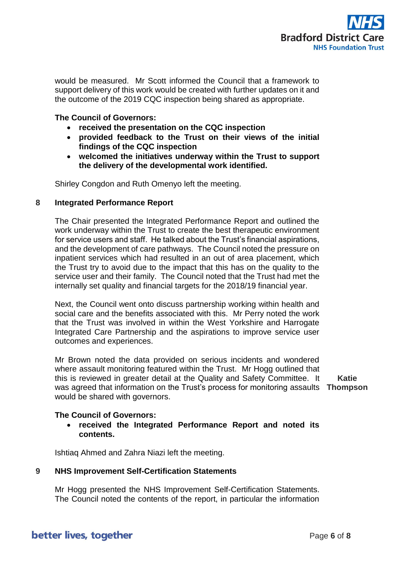

would be measured. Mr Scott informed the Council that a framework to support delivery of this work would be created with further updates on it and the outcome of the 2019 CQC inspection being shared as appropriate.

**The Council of Governors:**

- **received the presentation on the CQC inspection**
- **provided feedback to the Trust on their views of the initial findings of the CQC inspection**
- **welcomed the initiatives underway within the Trust to support the delivery of the developmental work identified.**

Shirley Congdon and Ruth Omenyo left the meeting.

# **8 Integrated Performance Report**

The Chair presented the Integrated Performance Report and outlined the work underway within the Trust to create the best therapeutic environment for service users and staff. He talked about the Trust's financial aspirations, and the development of care pathways. The Council noted the pressure on inpatient services which had resulted in an out of area placement, which the Trust try to avoid due to the impact that this has on the quality to the service user and their family. The Council noted that the Trust had met the internally set quality and financial targets for the 2018/19 financial year.

Next, the Council went onto discuss partnership working within health and social care and the benefits associated with this. Mr Perry noted the work that the Trust was involved in within the West Yorkshire and Harrogate Integrated Care Partnership and the aspirations to improve service user outcomes and experiences.

Mr Brown noted the data provided on serious incidents and wondered where assault monitoring featured within the Trust. Mr Hogg outlined that this is reviewed in greater detail at the Quality and Safety Committee. It was agreed that information on the Trust's process for monitoring assaults **Thompson** would be shared with governors. **Katie**

### **The Council of Governors:**

• **received the Integrated Performance Report and noted its contents.**

Ishtiaq Ahmed and Zahra Niazi left the meeting.

### **9 NHS Improvement Self-Certification Statements**

Mr Hogg presented the NHS Improvement Self-Certification Statements. The Council noted the contents of the report, in particular the information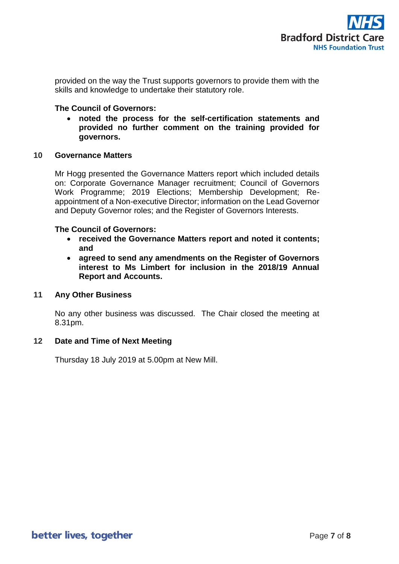

provided on the way the Trust supports governors to provide them with the skills and knowledge to undertake their statutory role.

# **The Council of Governors:**

• **noted the process for the self-certification statements and provided no further comment on the training provided for governors.**

### **10 Governance Matters**

Mr Hogg presented the Governance Matters report which included details on: Corporate Governance Manager recruitment; Council of Governors Work Programme; 2019 Elections; Membership Development; Reappointment of a Non-executive Director; information on the Lead Governor and Deputy Governor roles; and the Register of Governors Interests.

# **The Council of Governors:**

- **received the Governance Matters report and noted it contents; and**
- **agreed to send any amendments on the Register of Governors interest to Ms Limbert for inclusion in the 2018/19 Annual Report and Accounts.**

### **11 Any Other Business**

No any other business was discussed. The Chair closed the meeting at 8.31pm.

# **12 Date and Time of Next Meeting**

Thursday 18 July 2019 at 5.00pm at New Mill.